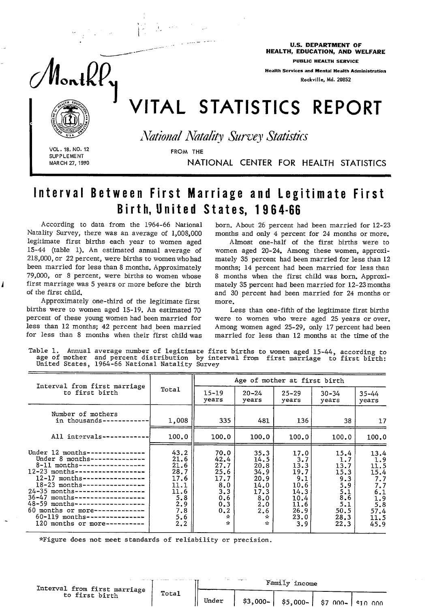

## Interval Between First Marriage and legitimate First Birth, United States, 1964-66

According to data from the 1964-66 National born. About 26 percent had been married for 12-23 Natality Survey, there was an average of 1,008,000 months and only 4 percent for 24 months or more. legitimate first births each year to women aged Almost one-half of the first births were to 15-44 (table 1). An estimated annual average of women aged 20-24. Among these women, approxi-218,000, or 22 percent, were births to women who had mately 35 percent had been married for less than 12 been married for less than 8 months. Approximately months; 14 percent had been married for less than 79,000, or 8 percent, were births to women whose 8 months when the first child was born. Approxi-79,000, or 8 percent, were births to women whose 8 months when the first child was born. Approxifirst marriage was 5 years or more before the birth mately 35 percent had been married for 12-23 months

births were to women aged 15-19. An estimated 70 Less than one-fifth of the legitimate first births percent of these young women had been married for were to women who were aged 25 years or over.

months and only 4 percent for 24 months or more.

of the first child. and 30 percent had been married for 24 months or - Approximately one-third of the legitimate first more.

less than 12 months; 42 percent had been married Among women aged 25-29, only 17 percent had been for less than 8 months when their first child was married for less than 12 months at the time of the

Table 1. Annual average number of legitimate first births to women aged 15-44, according to age of mother and percent distribution by interval from first marriage to first birt United States, 1964-66 National Natality Survey

| Interval from first marriage                                                                                                                                                                                                                                                                                                                                                                                                             |                                                                                         |                                                                                              | Age of mother at first birth                                                              |                                                                                           |                                                                                        |                                                                                               |
|------------------------------------------------------------------------------------------------------------------------------------------------------------------------------------------------------------------------------------------------------------------------------------------------------------------------------------------------------------------------------------------------------------------------------------------|-----------------------------------------------------------------------------------------|----------------------------------------------------------------------------------------------|-------------------------------------------------------------------------------------------|-------------------------------------------------------------------------------------------|----------------------------------------------------------------------------------------|-----------------------------------------------------------------------------------------------|
| to first birth                                                                                                                                                                                                                                                                                                                                                                                                                           | Total                                                                                   | $15 - 19$<br>years                                                                           | $20 - 24$<br>years                                                                        | $25 - 29$<br>years                                                                        | $30 - 34$<br>years                                                                     | $35 - 44$<br>years                                                                            |
| Number of mothers<br>in thousands-                                                                                                                                                                                                                                                                                                                                                                                                       | 1,008                                                                                   | 335                                                                                          | 481                                                                                       | 136                                                                                       | 38                                                                                     | 17                                                                                            |
| All intervals--                                                                                                                                                                                                                                                                                                                                                                                                                          | 100.0                                                                                   | 100.0                                                                                        | 100.0                                                                                     | 100.0                                                                                     | 100.0                                                                                  | 100.0                                                                                         |
| Under $12$ months---<br>------------<br>Under 8 months--------------<br>8-11 months------------------<br>$12 - 23$ months------------------<br>$12 - 17$ months----------------<br>$18 - 23$ months----------------<br>$24 - 35$ months------------------<br>$36 - 47$ months-------------------<br>48-59 months------------------<br>60 months or more-------------<br>$60 - 119$ months---------------<br>120 months or more---------- | 43.2<br>21.6<br>21.6<br>28.7<br>17.6<br>11.1<br>11.6<br>5.8<br>2.9<br>7.8<br>5.6<br>2.2 | 70.0<br>42.4<br>27.7<br>25.6<br>17.7<br>8.0<br>3.3<br>0.6<br>0.3<br>0.2<br>÷<br>$\mathbf{x}$ | 35.3<br>14.5<br>20.8<br>34.9<br>20.9<br>14.0<br>17.3<br>8.0<br>2.0<br>2.6<br>☆<br>$\star$ | 17.0<br>3.7<br>13.3<br>19.7<br>9.1<br>10.6<br>14.3<br>10.4<br>11.6<br>26.9<br>23.0<br>3.9 | 15.4<br>1.7<br>13.7<br>15.3<br>9.3<br>5.9<br>5.1<br>8.6<br>5.1<br>50.5<br>28.3<br>22.3 | 13.4<br>1.9<br>11.5<br>15.4<br>7.7<br>7.7<br>6.1<br>$\frac{1.9}{5.8}$<br>57.4<br>11.5<br>45.9 |

\*Figure does not meet standards of reliability or precision.

| Interval from first marriage ' |       |       |           |           |  |                     |  |
|--------------------------------|-------|-------|-----------|-----------|--|---------------------|--|
| to first birth                 | Total | Under | $$3,000-$ | $$5,000-$ |  | i \$7 000- \$10 000 |  |

 $\mathcal{F}_\mathbf{C}$  and  $\mathcal{F}_\mathbf{C}$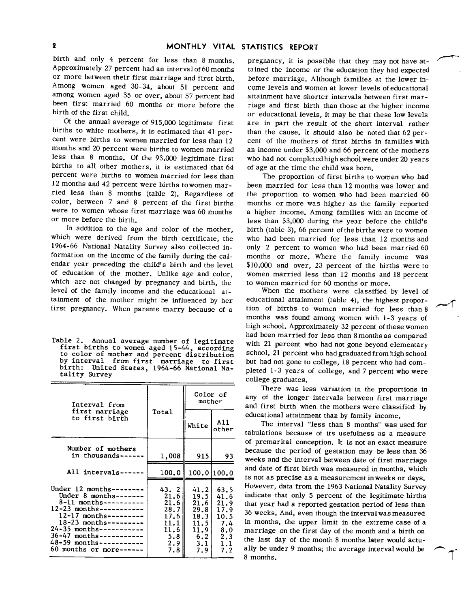birth and only 4 percent for less than 8 months. Approximately 27 percent had an interval of 60 months or more between their first marriage and first birth. Among women aged 30-34, about 51 percent and among women aged 35 or over, about 57 percent had been first married 60 months or more before the birth of the first child.

Of the annual average of 91s,000 legitimate first births to white mothers, it is estimated that 41 percent were births to women married for less than 12 months and 20 percent were births to women married less than 8 months. Of the 93,000 legitimate first births to all other mothers, it is estimated that 64 percent were births to women married for less than 12 months and 42 percent were births to women married less than 8 months (table 2). Regardless of color, between 7 and 8 percent of the first births were to women whose first marriage was 60 months or more before the birth.

In addition to the age and color of the mother, which were derived from the birth certificate, the 1964-66 National Natality Survey also collected information on the income of the family during the calendar year preceding the child's birth and the level of education of the mother. Unlike age and color, which are not changed by pregnancy and birth, the level of the family income and the educational attainment of the mother might be influenced by her first pregnancy. When parents marry because of a

Table 2. Annual average number of legitimate first births to women aged 15-44, according to color of mother and percent distribution by interval from first marriage to first<br>birth: United States, 1964-66 National Na-United States, 1964-66 National Natality Survey

| Interval from                                                                                                                                                                                                                                                                               |                                                                            | Color of<br>mother                                                             |                                                                         |
|---------------------------------------------------------------------------------------------------------------------------------------------------------------------------------------------------------------------------------------------------------------------------------------------|----------------------------------------------------------------------------|--------------------------------------------------------------------------------|-------------------------------------------------------------------------|
| first marriage<br>to first birth                                                                                                                                                                                                                                                            | Total                                                                      | White                                                                          | A11<br>other                                                            |
| Number of mothers<br>in thousands---                                                                                                                                                                                                                                                        | 1,008                                                                      | 915                                                                            | 93                                                                      |
| All intervals------                                                                                                                                                                                                                                                                         | 100.0                                                                      | 100.0 100.0                                                                    |                                                                         |
| Under $12$ months-------<br>Under 8 months-------<br>$8-11$ months----------<br>$12 - 23$ months-----------<br>$12 - 17$ months---------<br>$18 - 23$ months---------<br>$24 - 35$ months-----------<br>$36 - 47$ months-----------<br>48-59 months-----------<br>$60$ months or more------ | 43.2<br>21.6<br>21.6<br>28.7<br>17.61<br>11.1<br>11.6<br>5.8<br>2.9<br>7.8 | 41.2<br>19.5<br>21.61<br>29.81<br>18.3<br>11.5 I<br>11.91<br>6.2<br>3.1<br>7.9 | 63.5<br>41.6<br>21.9<br>17.9<br>10.5<br>7.4<br>8.0<br>2.3<br>1.1<br>7.2 |

pregnancy, it is possible that they maynot have attained the income or the education they had expected before marriage. Although families at the lower income levels and women at lower levels ofeducational attainment have shorter intervals between first marriage and first birth than those at the higher income or educational levels, it may be that these low levels are in part the result of the short interval rather than the cause. It should also be noted that  $62$  percent of the mothers of first births in families with an income under \$3,000 and 66 percent of the mothers who had not completed high school were under 20 years of age at the time the child was born.

,+--

The proportion of first births to women who had been married for less than 12months was lower and the proportion to women who had been married 60 months or more was higher as the family reported a higher income. Among families with an income of less than \$3,000 during the year before the child's birth (table 3), 66 percent of the births were to women who had been married for less than 12 months and only 2 percent to women who had been married 60 months or more. Where the family income was \$10,000 and over, 23 percent of the births were to women married less than 12 months and 18 percent to women married for 60 months or more.

When the mothers were classified by level of educational attainment (table 4), the highest propor-<br>tion of births to women married for less than 8 months was found among women with 1-3 years of high school. Approximately 32 percent of these women had been married for less than 8 months as compared with 21 percent who had not gone beyond elementary school, 21 percent who had graduated from high school but had not gone to college, 18 percent who had completed 1-3 years of college, and 7 percent who were college graduates.

There was less variation in the proportions in any of the longer intervals between first marriage and first birth when the mothers were classified by educational attainment than by family income.

The interval "less than 8 months" was used for tabulations because of its usefulness as a measure of premarital conception. It is not an exact measure because the period of gestation may be less than 36 weeks and the interval between date of first marriage and date of first birth was measured in months, which is not as precise as a measurement in weeks or days. However, data from the 1963 National Natality Survey indicate that only 5 percent of the legitimate births that year had a reported gestation period of less than 36 weeks, And, even though the interval was measured in months, the upper limit in the extreme case of a marriage on the first day of the month and a birth on the last day of the month 8 months later would actually be under 9 months; the average interval would be 8 months.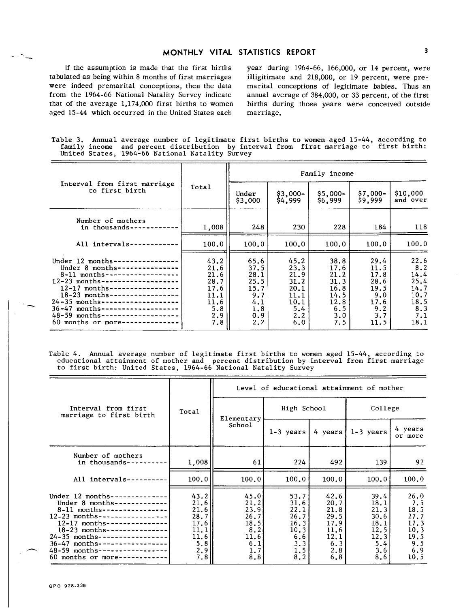## MONTHLY VITAL STATISTICS REPORT 3

tabulated as being within 8 months of first marriages illigitimate and 218,000, or 19 percent, were prewere indeed premarital conceptions, then the data marital conceptions of legitimate babies. Thus an from the 1964-66 National Natality Survey indicate annual average of 384,000, or 33 percent, of the first that of the average 1,174,000 first births to women births during those years were conceived outside aged 15-44 which occurred in the United States each marriage.

If the assumption is made that the first births year during  $1964-66$ ,  $166,000$ , or 14 percent, were

Table 3. Annual average number of legitimate first births to women aged 15-44, according to family income and percent distribution by interval from first marriage to first birth: United States, 1964-66 National Natality Survey

|                                                                                                                                                                                                                                                                                                                                                                         |                                                                           |                                                                          |                                                                           | Family income                                                             |                                                                           |                                                                             |
|-------------------------------------------------------------------------------------------------------------------------------------------------------------------------------------------------------------------------------------------------------------------------------------------------------------------------------------------------------------------------|---------------------------------------------------------------------------|--------------------------------------------------------------------------|---------------------------------------------------------------------------|---------------------------------------------------------------------------|---------------------------------------------------------------------------|-----------------------------------------------------------------------------|
| Interval from first marriage<br>to first birth                                                                                                                                                                                                                                                                                                                          | Total                                                                     | Under<br>\$3,000                                                         | $$3,000-$<br>\$4,999                                                      | $$5,000-$<br>\$6,999                                                      | $$7,000-$<br>\$9,999                                                      | \$10,000<br>and over                                                        |
| Number of mothers<br>in thousands-                                                                                                                                                                                                                                                                                                                                      | 1,008                                                                     | 248                                                                      | 230                                                                       | 228                                                                       | 184                                                                       | 118                                                                         |
| All intervals-                                                                                                                                                                                                                                                                                                                                                          | 100.0                                                                     | 100.0                                                                    | 100.0                                                                     | 100.0                                                                     | 100.0                                                                     | 100.0                                                                       |
| Under 12 months--<br>-------------<br>Under $8$ months---------------<br>$8-11$ months-------------------<br>$12-23$ months--------------------<br>$12-17$ months-----------------<br>18-23 months-----------------<br>$24 - 35$ months--------------------<br>$36 - 47$ months--------------------<br>48-59 months-------------------<br>$60$ months or more---------- | 43.2<br>21.6<br>21.6<br>28.7<br>17.6<br>11.1<br>11.6<br>5.8<br>2.9<br>7.8 | 65.6<br>37.5<br>28.1<br>25.5<br>15.7<br>9.7<br>4.1<br>1.8<br>0.9<br>2, 2 | 45.2<br>23.3<br>21.9<br>31.2<br>20.1<br>11.1<br>10.1<br>5.4<br>2.2<br>6.0 | 38.8<br>17.6<br>21.2<br>31.3<br>16.8<br>14.5<br>12.8<br>6.5<br>3.0<br>7.5 | 29.4<br>11.5<br>17.8<br>28.6<br>19.5<br>9.0<br>17.6<br>9.2<br>3.7<br>11.5 | 22.6<br>$8.2$<br>14.4<br>25.4<br>14.7<br>10.7<br>18.5<br>8.3<br>7.1<br>18.1 |

Table 4. Annual average number of legitimate first births to women aged 15-44, according to educational attainment of mother and percent distribution by interval from first marriage<br>to first birth: United States, 1964-66 National Natality Survey

|                                                                                                                                                                                                                                                                                                                                           |                                                                            |                                                                           | Level of educational attainment of mother                                |                                                                            |                                                                            |                                                                           |
|-------------------------------------------------------------------------------------------------------------------------------------------------------------------------------------------------------------------------------------------------------------------------------------------------------------------------------------------|----------------------------------------------------------------------------|---------------------------------------------------------------------------|--------------------------------------------------------------------------|----------------------------------------------------------------------------|----------------------------------------------------------------------------|---------------------------------------------------------------------------|
| Interval from first<br>marriage to first birth                                                                                                                                                                                                                                                                                            | Total                                                                      | Elementary                                                                | High School                                                              |                                                                            | College                                                                    |                                                                           |
|                                                                                                                                                                                                                                                                                                                                           |                                                                            | School                                                                    | 1-3 years                                                                | 4 years                                                                    | $1-3$ years                                                                | 4 years<br>or more                                                        |
| Number of mothers<br>in thousands----                                                                                                                                                                                                                                                                                                     | 1,008                                                                      | 61                                                                        | 224                                                                      | 492                                                                        | 139                                                                        | 92                                                                        |
| All intervals--                                                                                                                                                                                                                                                                                                                           | 100.0                                                                      | 100.0                                                                     | 100.0                                                                    | 100.0                                                                      | 100.0                                                                      | 100.0                                                                     |
| Under $12$ months-----------<br>Under 8 months-------------<br>8-11 months----------------<br>$12-23$ months-----------------<br>$12 - 17$ months---------------<br>$18 - 23$ months-------------<br>$24 - 35$ months----------------<br>$36-47$ months----------------<br>48-59 months-----------------<br>60 months or more------------ | 43.2<br>21.6<br>21.6<br>28.7<br>17.6<br>11.1<br>11.6<br>5.8<br>2, 9<br>7.8 | 45.0<br>21.2<br>23.9<br>26.7<br>18.5<br>8.21<br>11,6<br>6.1<br>1.7<br>8.8 | 53.7<br>31.6<br>22.1<br>26.7<br>16.3<br>10.3<br>6.6<br>3.3<br>1.5<br>8.2 | 42.6<br>20.7<br>21.8<br>29.5<br>17.9<br>11.6<br>12.1<br>6.3<br>2.8<br>6, 8 | 39.4<br>18.1<br>21.3<br>30.6<br>18.1<br>12, 5<br>12.3<br>5.4<br>3.6<br>8.6 | 26.0<br>7.5<br>18.5<br>27.7<br>17.3<br>10.3<br>19.5<br>9.5<br>6.9<br>10.5 |